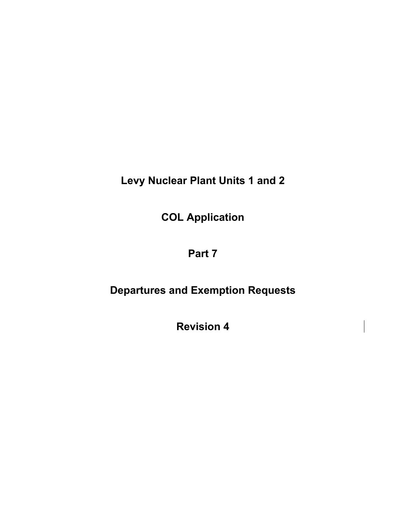**Levy Nuclear Plant Units 1 and 2** 

**COL Application** 

# **Part 7**

# **Departures and Exemption Requests**

**Revision 4**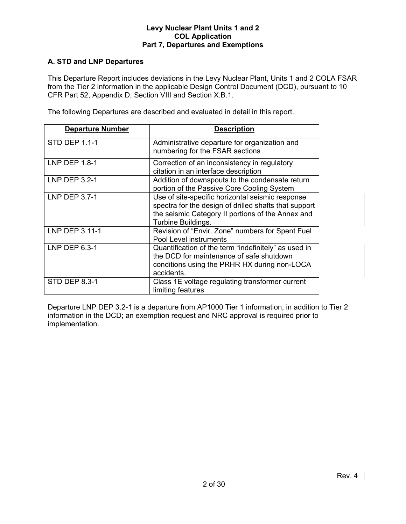# **A. STD and LNP Departures**

This Departure Report includes deviations in the Levy Nuclear Plant, Units 1 and 2 COLA FSAR from the Tier 2 information in the applicable Design Control Document (DCD), pursuant to 10 CFR Part 52, Appendix D, Section VIII and Section X.B.1.

The following Departures are described and evaluated in detail in this report.

| <b>Departure Number</b> | <b>Description</b>                                                                                                                                                                   |
|-------------------------|--------------------------------------------------------------------------------------------------------------------------------------------------------------------------------------|
| STD DEP 1.1-1           | Administrative departure for organization and<br>numbering for the FSAR sections                                                                                                     |
| LNP DEP 1.8-1           | Correction of an inconsistency in regulatory<br>citation in an interface description                                                                                                 |
| LNP DEP 3.2-1           | Addition of downspouts to the condensate return<br>portion of the Passive Core Cooling System                                                                                        |
| <b>LNP DEP 3.7-1</b>    | Use of site-specific horizontal seismic response<br>spectra for the design of drilled shafts that support<br>the seismic Category II portions of the Annex and<br>Turbine Buildings. |
| LNP DEP 3.11-1          | Revision of "Envir. Zone" numbers for Spent Fuel<br>Pool Level instruments                                                                                                           |
| LNP DEP 6.3-1           | Quantification of the term "indefinitely" as used in<br>the DCD for maintenance of safe shutdown<br>conditions using the PRHR HX during non-LOCA<br>accidents.                       |
| <b>STD DEP 8.3-1</b>    | Class 1E voltage regulating transformer current<br>limiting features                                                                                                                 |

Departure LNP DEP 3.2-1 is a departure from AP1000 Tier 1 information, in addition to Tier 2 information in the DCD; an exemption request and NRC approval is required prior to implementation.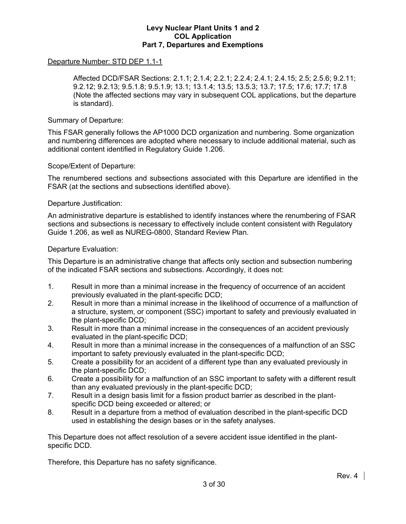#### Departure Number: STD DEP 1.1-1

 Affected DCD/FSAR Sections: 2.1.1; 2.1.4; 2.2.1; 2.2.4; 2.4.1; 2.4.15; 2.5; 2.5.6; 9.2.11; 9.2.12; 9.2.13; 9.5.1.8; 9.5.1.9; 13.1; 13.1.4; 13.5; 13.5.3; 13.7; 17.5; 17.6; 17.7; 17.8 (Note the affected sections may vary in subsequent COL applications, but the departure is standard).

#### Summary of Departure:

This FSAR generally follows the AP1000 DCD organization and numbering. Some organization and numbering differences are adopted where necessary to include additional material, such as additional content identified in Regulatory Guide 1.206.

#### Scope/Extent of Departure:

The renumbered sections and subsections associated with this Departure are identified in the FSAR (at the sections and subsections identified above).

#### Departure Justification:

An administrative departure is established to identify instances where the renumbering of FSAR sections and subsections is necessary to effectively include content consistent with Regulatory Guide 1.206, as well as NUREG-0800, Standard Review Plan.

#### Departure Evaluation:

This Departure is an administrative change that affects only section and subsection numbering of the indicated FSAR sections and subsections. Accordingly, it does not:

- 1. Result in more than a minimal increase in the frequency of occurrence of an accident previously evaluated in the plant-specific DCD;
- 2. Result in more than a minimal increase in the likelihood of occurrence of a malfunction of a structure, system, or component (SSC) important to safety and previously evaluated in the plant-specific DCD;
- 3. Result in more than a minimal increase in the consequences of an accident previously evaluated in the plant-specific DCD;
- 4. Result in more than a minimal increase in the consequences of a malfunction of an SSC important to safety previously evaluated in the plant-specific DCD;
- 5. Create a possibility for an accident of a different type than any evaluated previously in the plant-specific DCD;
- 6. Create a possibility for a malfunction of an SSC important to safety with a different result than any evaluated previously in the plant-specific DCD;
- 7. Result in a design basis limit for a fission product barrier as described in the plantspecific DCD being exceeded or altered; or
- 8. Result in a departure from a method of evaluation described in the plant-specific DCD used in establishing the design bases or in the safety analyses.

This Departure does not affect resolution of a severe accident issue identified in the plantspecific DCD.

Therefore, this Departure has no safety significance.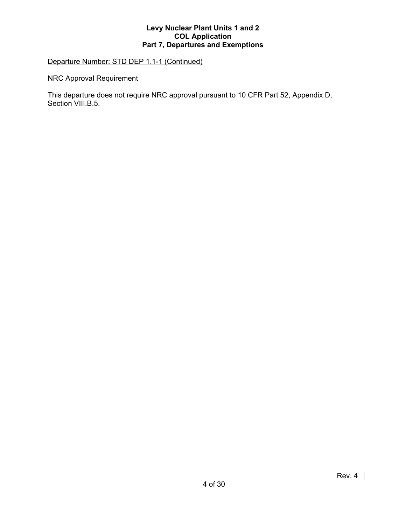# Departure Number: STD DEP 1.1-1 (Continued)

NRC Approval Requirement

This departure does not require NRC approval pursuant to 10 CFR Part 52, Appendix D, Section VIII.B.5.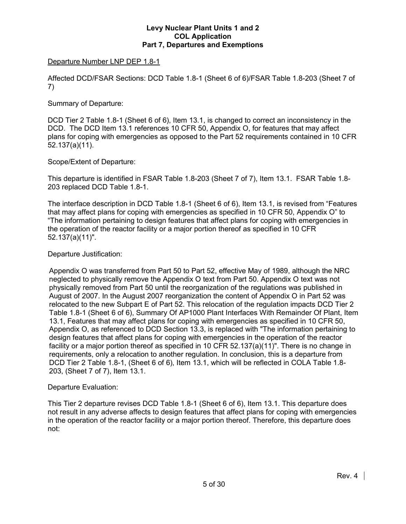# Departure Number LNP DEP 1.8-1

Affected DCD/FSAR Sections: DCD Table 1.8-1 (Sheet 6 of 6)/FSAR Table 1.8-203 (Sheet 7 of 7)

#### Summary of Departure:

DCD Tier 2 Table 1.8-1 (Sheet 6 of 6), Item 13.1, is changed to correct an inconsistency in the DCD. The DCD Item 13.1 references 10 CFR 50, Appendix O, for features that may affect plans for coping with emergencies as opposed to the Part 52 requirements contained in 10 CFR 52.137(a)(11).

# Scope/Extent of Departure:

This departure is identified in FSAR Table 1.8-203 (Sheet 7 of 7), Item 13.1. FSAR Table 1.8- 203 replaced DCD Table 1.8-1.

The interface description in DCD Table 1.8-1 (Sheet 6 of 6), Item 13.1, is revised from "Features that may affect plans for coping with emergencies as specified in 10 CFR 50, Appendix O" to "The information pertaining to design features that affect plans for coping with emergencies in the operation of the reactor facility or a major portion thereof as specified in 10 CFR 52.137(a)(11)".

#### Departure Justification:

Appendix O was transferred from Part 50 to Part 52, effective May of 1989, although the NRC neglected to physically remove the Appendix O text from Part 50. Appendix O text was not physically removed from Part 50 until the reorganization of the regulations was published in August of 2007. In the August 2007 reorganization the content of Appendix O in Part 52 was relocated to the new Subpart E of Part 52. This relocation of the regulation impacts DCD Tier 2 Table 1.8-1 (Sheet 6 of 6), Summary Of AP1000 Plant Interfaces With Remainder Of Plant, Item 13.1, Features that may affect plans for coping with emergencies as specified in 10 CFR 50, Appendix O, as referenced to DCD Section 13.3, is replaced with "The information pertaining to design features that affect plans for coping with emergencies in the operation of the reactor facility or a major portion thereof as specified in 10 CFR 52.137(a)(11)". There is no change in requirements, only a relocation to another regulation. In conclusion, this is a departure from DCD Tier 2 Table 1.8-1, (Sheet 6 of 6), Item 13.1, which will be reflected in COLA Table 1.8- 203, (Sheet 7 of 7), Item 13.1.

#### Departure Evaluation:

This Tier 2 departure revises DCD Table 1.8-1 (Sheet 6 of 6), Item 13.1. This departure does not result in any adverse affects to design features that affect plans for coping with emergencies in the operation of the reactor facility or a major portion thereof. Therefore, this departure does not: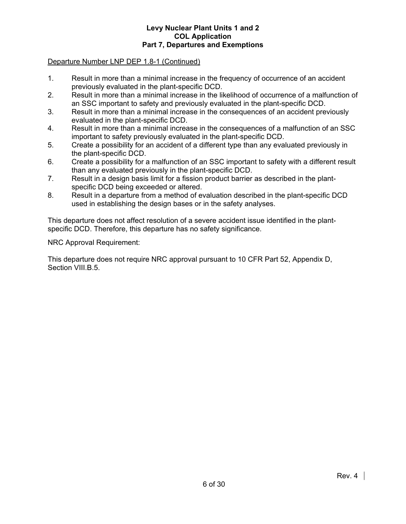#### Departure Number LNP DEP 1.8-1 (Continued)

- 1. Result in more than a minimal increase in the frequency of occurrence of an accident previously evaluated in the plant-specific DCD.
- 2. Result in more than a minimal increase in the likelihood of occurrence of a malfunction of an SSC important to safety and previously evaluated in the plant-specific DCD.
- 3. Result in more than a minimal increase in the consequences of an accident previously evaluated in the plant-specific DCD.
- 4. Result in more than a minimal increase in the consequences of a malfunction of an SSC important to safety previously evaluated in the plant-specific DCD.
- 5. Create a possibility for an accident of a different type than any evaluated previously in the plant-specific DCD.
- 6. Create a possibility for a malfunction of an SSC important to safety with a different result than any evaluated previously in the plant-specific DCD.
- 7. Result in a design basis limit for a fission product barrier as described in the plantspecific DCD being exceeded or altered.
- 8. Result in a departure from a method of evaluation described in the plant-specific DCD used in establishing the design bases or in the safety analyses.

This departure does not affect resolution of a severe accident issue identified in the plantspecific DCD. Therefore, this departure has no safety significance.

NRC Approval Requirement:

This departure does not require NRC approval pursuant to 10 CFR Part 52, Appendix D, Section VIII.B.5.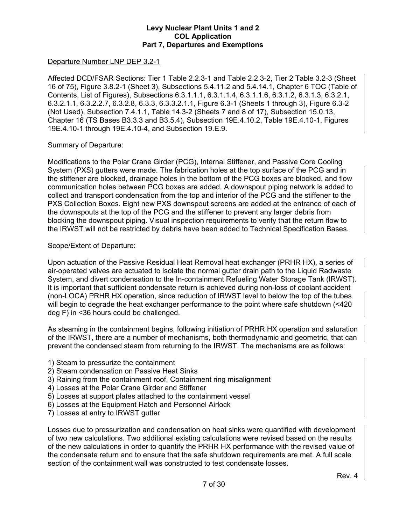#### Departure Number LNP DEP 3.2-1

Affected DCD/FSAR Sections: Tier 1 Table 2.2.3-1 and Table 2.2.3-2, Tier 2 Table 3.2-3 (Sheet 16 of 75), Figure 3.8.2-1 (Sheet 3), Subsections 5.4.11.2 and 5.4.14.1, Chapter 6 TOC (Table of Contents, List of Figures), Subsections 6.3.1.1.1, 6.3.1.1.4, 6.3.1.1.6, 6.3.1.2, 6.3.1.3, 6.3.2.1, 6.3.2.1.1, 6.3.2.2.7, 6.3.2.8, 6.3.3, 6.3.3.2.1.1, Figure 6.3-1 (Sheets 1 through 3), Figure 6.3-2 (Not Used), Subsection 7.4.1.1, Table 14.3-2 (Sheets 7 and 8 of 17), Subsection 15.0.13, Chapter 16 (TS Bases B3.3.3 and B3.5.4), Subsection 19E.4.10.2, Table 19E.4.10-1, Figures 19E.4.10-1 through 19E.4.10-4, and Subsection 19.E.9.

#### Summary of Departure:

Modifications to the Polar Crane Girder (PCG), Internal Stiffener, and Passive Core Cooling System (PXS) gutters were made. The fabrication holes at the top surface of the PCG and in the stiffener are blocked, drainage holes in the bottom of the PCG boxes are blocked, and flow communication holes between PCG boxes are added. A downspout piping network is added to collect and transport condensation from the top and interior of the PCG and the stiffener to the PXS Collection Boxes. Eight new PXS downspout screens are added at the entrance of each of the downspouts at the top of the PCG and the stiffener to prevent any larger debris from blocking the downspout piping. Visual inspection requirements to verify that the return flow to the IRWST will not be restricted by debris have been added to Technical Specification Bases.

#### Scope/Extent of Departure:

Upon actuation of the Passive Residual Heat Removal heat exchanger (PRHR HX), a series of air-operated valves are actuated to isolate the normal gutter drain path to the Liquid Radwaste System, and divert condensation to the In-containment Refueling Water Storage Tank (IRWST). It is important that sufficient condensate return is achieved during non-loss of coolant accident (non-LOCA) PRHR HX operation, since reduction of IRWST level to below the top of the tubes will begin to degrade the heat exchanger performance to the point where safe shutdown (<420 deg F) in <36 hours could be challenged.

As steaming in the containment begins, following initiation of PRHR HX operation and saturation of the IRWST, there are a number of mechanisms, both thermodynamic and geometric, that can prevent the condensed steam from returning to the IRWST. The mechanisms are as follows:

- 1) Steam to pressurize the containment
- 2) Steam condensation on Passive Heat Sinks
- 3) Raining from the containment roof, Containment ring misalignment
- 4) Losses at the Polar Crane Girder and Stiffener
- 5) Losses at support plates attached to the containment vessel
- 6) Losses at the Equipment Hatch and Personnel Airlock
- 7) Losses at entry to IRWST gutter

Losses due to pressurization and condensation on heat sinks were quantified with development of two new calculations. Two additional existing calculations were revised based on the results of the new calculations in order to quantify the PRHR HX performance with the revised value of the condensate return and to ensure that the safe shutdown requirements are met. A full scale section of the containment wall was constructed to test condensate losses.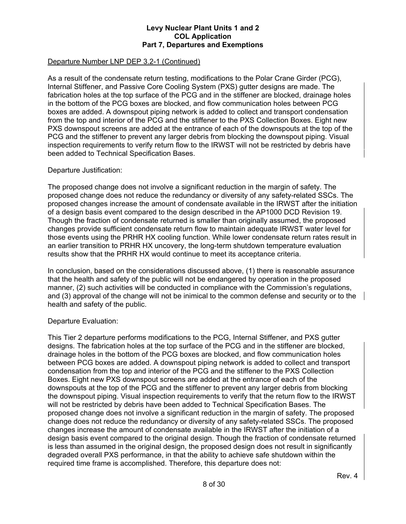# Departure Number LNP DEP 3.2-1 (Continued)

As a result of the condensate return testing, modifications to the Polar Crane Girder (PCG), Internal Stiffener, and Passive Core Cooling System (PXS) gutter designs are made. The fabrication holes at the top surface of the PCG and in the stiffener are blocked, drainage holes in the bottom of the PCG boxes are blocked, and flow communication holes between PCG boxes are added. A downspout piping network is added to collect and transport condensation from the top and interior of the PCG and the stiffener to the PXS Collection Boxes. Eight new PXS downspout screens are added at the entrance of each of the downspouts at the top of the PCG and the stiffener to prevent any larger debris from blocking the downspout piping. Visual inspection requirements to verify return flow to the IRWST will not be restricted by debris have been added to Technical Specification Bases.

#### Departure Justification:

The proposed change does not involve a significant reduction in the margin of safety. The proposed change does not reduce the redundancy or diversity of any safety-related SSCs. The proposed changes increase the amount of condensate available in the IRWST after the initiation of a design basis event compared to the design described in the AP1000 DCD Revision 19. Though the fraction of condensate returned is smaller than originally assumed, the proposed changes provide sufficient condensate return flow to maintain adequate IRWST water level for those events using the PRHR HX cooling function. While lower condensate return rates result in an earlier transition to PRHR HX uncovery, the long-term shutdown temperature evaluation results show that the PRHR HX would continue to meet its acceptance criteria.

In conclusion, based on the considerations discussed above, (1) there is reasonable assurance that the health and safety of the public will not be endangered by operation in the proposed manner, (2) such activities will be conducted in compliance with the Commission's regulations, and (3) approval of the change will not be inimical to the common defense and security or to the health and safety of the public.

#### Departure Evaluation:

This Tier 2 departure performs modifications to the PCG, Internal Stiffener, and PXS gutter designs. The fabrication holes at the top surface of the PCG and in the stiffener are blocked, drainage holes in the bottom of the PCG boxes are blocked, and flow communication holes between PCG boxes are added. A downspout piping network is added to collect and transport condensation from the top and interior of the PCG and the stiffener to the PXS Collection Boxes. Eight new PXS downspout screens are added at the entrance of each of the downspouts at the top of the PCG and the stiffener to prevent any larger debris from blocking the downspout piping. Visual inspection requirements to verify that the return flow to the IRWST will not be restricted by debris have been added to Technical Specification Bases. The proposed change does not involve a significant reduction in the margin of safety. The proposed change does not reduce the redundancy or diversity of any safety-related SSCs. The proposed changes increase the amount of condensate available in the IRWST after the initiation of a design basis event compared to the original design. Though the fraction of condensate returned is less than assumed in the original design, the proposed design does not result in significantly degraded overall PXS performance, in that the ability to achieve safe shutdown within the required time frame is accomplished. Therefore, this departure does not: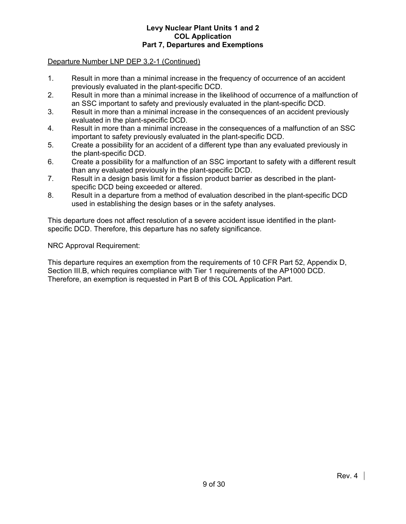#### Departure Number LNP DEP 3.2-1 (Continued)

- 1. Result in more than a minimal increase in the frequency of occurrence of an accident previously evaluated in the plant-specific DCD.
- 2. Result in more than a minimal increase in the likelihood of occurrence of a malfunction of an SSC important to safety and previously evaluated in the plant-specific DCD.
- 3. Result in more than a minimal increase in the consequences of an accident previously evaluated in the plant-specific DCD.
- 4. Result in more than a minimal increase in the consequences of a malfunction of an SSC important to safety previously evaluated in the plant-specific DCD.
- 5. Create a possibility for an accident of a different type than any evaluated previously in the plant-specific DCD.
- 6. Create a possibility for a malfunction of an SSC important to safety with a different result than any evaluated previously in the plant-specific DCD.
- 7. Result in a design basis limit for a fission product barrier as described in the plantspecific DCD being exceeded or altered.
- 8. Result in a departure from a method of evaluation described in the plant-specific DCD used in establishing the design bases or in the safety analyses.

This departure does not affect resolution of a severe accident issue identified in the plantspecific DCD. Therefore, this departure has no safety significance.

#### NRC Approval Requirement:

This departure requires an exemption from the requirements of 10 CFR Part 52, Appendix D, Section III.B, which requires compliance with Tier 1 requirements of the AP1000 DCD. Therefore, an exemption is requested in Part B of this COL Application Part.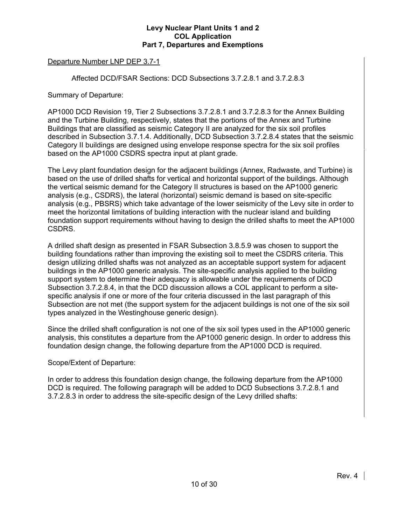# Departure Number LNP DEP 3.7-1

Affected DCD/FSAR Sections: DCD Subsections 3.7.2.8.1 and 3.7.2.8.3

Summary of Departure:

AP1000 DCD Revision 19, Tier 2 Subsections 3.7.2.8.1 and 3.7.2.8.3 for the Annex Building and the Turbine Building, respectively, states that the portions of the Annex and Turbine Buildings that are classified as seismic Category II are analyzed for the six soil profiles described in Subsection 3.7.1.4. Additionally, DCD Subsection 3.7.2.8.4 states that the seismic Category II buildings are designed using envelope response spectra for the six soil profiles based on the AP1000 CSDRS spectra input at plant grade.

The Levy plant foundation design for the adjacent buildings (Annex, Radwaste, and Turbine) is based on the use of drilled shafts for vertical and horizontal support of the buildings. Although the vertical seismic demand for the Category II structures is based on the AP1000 generic analysis (e.g., CSDRS), the lateral (horizontal) seismic demand is based on site-specific analysis (e.g., PBSRS) which take advantage of the lower seismicity of the Levy site in order to meet the horizontal limitations of building interaction with the nuclear island and building foundation support requirements without having to design the drilled shafts to meet the AP1000 CSDRS.

A drilled shaft design as presented in FSAR Subsection 3.8.5.9 was chosen to support the building foundations rather than improving the existing soil to meet the CSDRS criteria. This design utilizing drilled shafts was not analyzed as an acceptable support system for adjacent buildings in the AP1000 generic analysis. The site-specific analysis applied to the building support system to determine their adequacy is allowable under the requirements of DCD Subsection 3.7.2.8.4, in that the DCD discussion allows a COL applicant to perform a sitespecific analysis if one or more of the four criteria discussed in the last paragraph of this Subsection are not met (the support system for the adjacent buildings is not one of the six soil types analyzed in the Westinghouse generic design).

Since the drilled shaft configuration is not one of the six soil types used in the AP1000 generic analysis, this constitutes a departure from the AP1000 generic design. In order to address this foundation design change, the following departure from the AP1000 DCD is required.

# Scope/Extent of Departure:

In order to address this foundation design change, the following departure from the AP1000 DCD is required. The following paragraph will be added to DCD Subsections 3.7.2.8.1 and 3.7.2.8.3 in order to address the site-specific design of the Levy drilled shafts: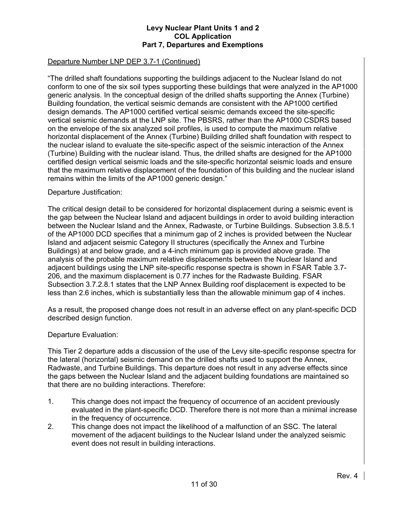# Departure Number LNP DEP 3.7-1 (Continued)

"The drilled shaft foundations supporting the buildings adjacent to the Nuclear Island do not conform to one of the six soil types supporting these buildings that were analyzed in the AP1000 generic analysis. In the conceptual design of the drilled shafts supporting the Annex (Turbine) Building foundation, the vertical seismic demands are consistent with the AP1000 certified design demands. The AP1000 certified vertical seismic demands exceed the site-specific vertical seismic demands at the LNP site. The PBSRS, rather than the AP1000 CSDRS based on the envelope of the six analyzed soil profiles, is used to compute the maximum relative horizontal displacement of the Annex (Turbine) Building drilled shaft foundation with respect to the nuclear island to evaluate the site-specific aspect of the seismic interaction of the Annex (Turbine) Building with the nuclear island. Thus, the drilled shafts are designed for the AP1000 certified design vertical seismic loads and the site-specific horizontal seismic loads and ensure that the maximum relative displacement of the foundation of this building and the nuclear island remains within the limits of the AP1000 generic design."

#### Departure Justification:

The critical design detail to be considered for horizontal displacement during a seismic event is the gap between the Nuclear Island and adjacent buildings in order to avoid building interaction between the Nuclear Island and the Annex, Radwaste, or Turbine Buildings. Subsection 3.8.5.1 of the AP1000 DCD specifies that a minimum gap of 2 inches is provided between the Nuclear Island and adjacent seismic Category II structures (specifically the Annex and Turbine Buildings) at and below grade, and a 4-inch minimum gap is provided above grade. The analysis of the probable maximum relative displacements between the Nuclear Island and adjacent buildings using the LNP site-specific response spectra is shown in FSAR Table 3.7- 206, and the maximum displacement is 0.77 inches for the Radwaste Building. FSAR Subsection 3.7.2.8.1 states that the LNP Annex Building roof displacement is expected to be less than 2.6 inches, which is substantially less than the allowable minimum gap of 4 inches.

As a result, the proposed change does not result in an adverse effect on any plant-specific DCD described design function.

#### Departure Evaluation:

This Tier 2 departure adds a discussion of the use of the Levy site-specific response spectra for the lateral (horizontal) seismic demand on the drilled shafts used to support the Annex, Radwaste, and Turbine Buildings. This departure does not result in any adverse effects since the gaps between the Nuclear Island and the adjacent building foundations are maintained so that there are no building interactions. Therefore:

- 1. This change does not impact the frequency of occurrence of an accident previously evaluated in the plant-specific DCD. Therefore there is not more than a minimal increase in the frequency of occurrence.
- 2. This change does not impact the likelihood of a malfunction of an SSC. The lateral movement of the adjacent buildings to the Nuclear Island under the analyzed seismic event does not result in building interactions.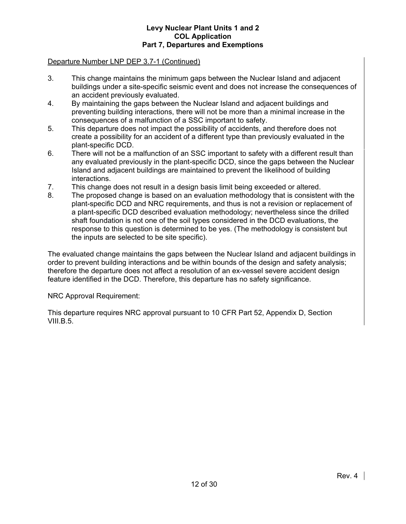# Departure Number LNP DEP 3.7-1 (Continued)

- 3. This change maintains the minimum gaps between the Nuclear Island and adjacent buildings under a site-specific seismic event and does not increase the consequences of an accident previously evaluated.
- 4. By maintaining the gaps between the Nuclear Island and adjacent buildings and preventing building interactions, there will not be more than a minimal increase in the consequences of a malfunction of a SSC important to safety.
- 5. This departure does not impact the possibility of accidents, and therefore does not create a possibility for an accident of a different type than previously evaluated in the plant-specific DCD.
- 6. There will not be a malfunction of an SSC important to safety with a different result than any evaluated previously in the plant-specific DCD, since the gaps between the Nuclear Island and adjacent buildings are maintained to prevent the likelihood of building interactions.
- 7. This change does not result in a design basis limit being exceeded or altered.
- 8. The proposed change is based on an evaluation methodology that is consistent with the plant-specific DCD and NRC requirements, and thus is not a revision or replacement of a plant-specific DCD described evaluation methodology; nevertheless since the drilled shaft foundation is not one of the soil types considered in the DCD evaluations, the response to this question is determined to be yes. (The methodology is consistent but the inputs are selected to be site specific).

The evaluated change maintains the gaps between the Nuclear Island and adjacent buildings in order to prevent building interactions and be within bounds of the design and safety analysis; therefore the departure does not affect a resolution of an ex-vessel severe accident design feature identified in the DCD. Therefore, this departure has no safety significance.

#### NRC Approval Requirement:

This departure requires NRC approval pursuant to 10 CFR Part 52, Appendix D, Section VIII.B.5.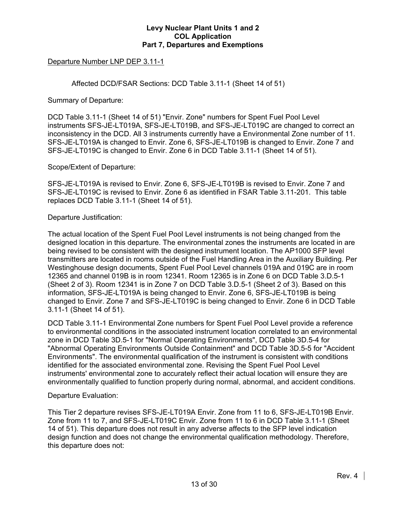# Departure Number LNP DEP 3.11-1

Affected DCD/FSAR Sections: DCD Table 3.11-1 (Sheet 14 of 51)

Summary of Departure:

DCD Table 3.11-1 (Sheet 14 of 51) "Envir. Zone" numbers for Spent Fuel Pool Level instruments SFS-JE-LT019A, SFS-JE-LT019B, and SFS-JE-LT019C are changed to correct an inconsistency in the DCD. All 3 instruments currently have a Environmental Zone number of 11. SFS-JE-LT019A is changed to Envir. Zone 6, SFS-JE-LT019B is changed to Envir. Zone 7 and SFS-JE-LT019C is changed to Envir. Zone 6 in DCD Table 3.11-1 (Sheet 14 of 51).

Scope/Extent of Departure:

SFS-JE-LT019A is revised to Envir. Zone 6, SFS-JE-LT019B is revised to Envir. Zone 7 and SFS-JE-LT019C is revised to Envir. Zone 6 as identified in FSAR Table 3.11-201. This table replaces DCD Table 3.11-1 (Sheet 14 of 51).

Departure Justification:

The actual location of the Spent Fuel Pool Level instruments is not being changed from the designed location in this departure. The environmental zones the instruments are located in are being revised to be consistent with the designed instrument location. The AP1000 SFP level transmitters are located in rooms outside of the Fuel Handling Area in the Auxiliary Building. Per Westinghouse design documents, Spent Fuel Pool Level channels 019A and 019C are in room 12365 and channel 019B is in room 12341. Room 12365 is in Zone 6 on DCD Table 3.D.5-1 (Sheet 2 of 3). Room 12341 is in Zone 7 on DCD Table 3.D.5-1 (Sheet 2 of 3). Based on this information, SFS-JE-LT019A is being changed to Envir. Zone 6, SFS-JE-LT019B is being changed to Envir. Zone 7 and SFS-JE-LT019C is being changed to Envir. Zone 6 in DCD Table 3.11-1 (Sheet 14 of 51).

DCD Table 3.11-1 Environmental Zone numbers for Spent Fuel Pool Level provide a reference to environmental conditions in the associated instrument location correlated to an environmental zone in DCD Table 3D.5-1 for "Normal Operating Environments", DCD Table 3D.5-4 for "Abnormal Operating Environments Outside Containment" and DCD Table 3D.5-5 for "Accident Environments". The environmental qualification of the instrument is consistent with conditions identified for the associated environmental zone. Revising the Spent Fuel Pool Level instruments' environmental zone to accurately reflect their actual location will ensure they are environmentally qualified to function properly during normal, abnormal, and accident conditions.

Departure Evaluation:

This Tier 2 departure revises SFS-JE-LT019A Envir. Zone from 11 to 6, SFS-JE-LT019B Envir. Zone from 11 to 7, and SFS-JE-LT019C Envir. Zone from 11 to 6 in DCD Table 3.11-1 (Sheet 14 of 51). This departure does not result in any adverse affects to the SFP level indication design function and does not change the environmental qualification methodology. Therefore, this departure does not: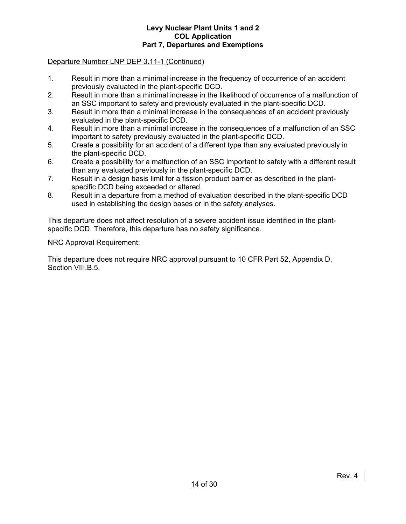#### Departure Number LNP DEP 3.11-1 (Continued)

- 1. Result in more than a minimal increase in the frequency of occurrence of an accident previously evaluated in the plant-specific DCD.
- 2. Result in more than a minimal increase in the likelihood of occurrence of a malfunction of an SSC important to safety and previously evaluated in the plant-specific DCD.
- 3. Result in more than a minimal increase in the consequences of an accident previously evaluated in the plant-specific DCD.
- 4. Result in more than a minimal increase in the consequences of a malfunction of an SSC important to safety previously evaluated in the plant-specific DCD.
- 5. Create a possibility for an accident of a different type than any evaluated previously in the plant-specific DCD.
- 6. Create a possibility for a malfunction of an SSC important to safety with a different result than any evaluated previously in the plant-specific DCD.
- 7. Result in a design basis limit for a fission product barrier as described in the plantspecific DCD being exceeded or altered.
- 8. Result in a departure from a method of evaluation described in the plant-specific DCD used in establishing the design bases or in the safety analyses.

This departure does not affect resolution of a severe accident issue identified in the plantspecific DCD. Therefore, this departure has no safety significance.

NRC Approval Requirement:

This departure does not require NRC approval pursuant to 10 CFR Part 52, Appendix D, Section VIII.B.5.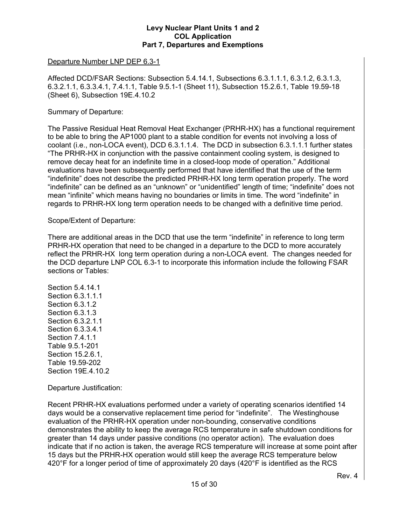#### Departure Number LNP DEP 6.3-1

Affected DCD/FSAR Sections: Subsection 5.4.14.1, Subsections 6.3.1.1.1, 6.3.1.2, 6.3.1.3, 6.3.2.1.1, 6.3.3.4.1, 7.4.1.1, Table 9.5.1-1 (Sheet 11), Subsection 15.2.6.1, Table 19.59-18 (Sheet 6), Subsection 19E.4.10.2

#### Summary of Departure:

The Passive Residual Heat Removal Heat Exchanger (PRHR-HX) has a functional requirement to be able to bring the AP1000 plant to a stable condition for events not involving a loss of coolant (i.e., non-LOCA event), DCD 6.3.1.1.4. The DCD in subsection 6.3.1.1.1 further states "The PRHR-HX in conjunction with the passive containment cooling system, is designed to remove decay heat for an indefinite time in a closed-loop mode of operation." Additional evaluations have been subsequently performed that have identified that the use of the term "indefinite" does not describe the predicted PRHR-HX long term operation properly. The word "indefinite" can be defined as an "unknown" or "unidentified" length of time; "indefinite" does not mean "infinite" which means having no boundaries or limits in time. The word "indefinite" in regards to PRHR-HX long term operation needs to be changed with a definitive time period.

#### Scope/Extent of Departure:

There are additional areas in the DCD that use the term "indefinite" in reference to long term PRHR-HX operation that need to be changed in a departure to the DCD to more accurately reflect the PRHR-HX long term operation during a non-LOCA event. The changes needed for the DCD departure LNP COL 6.3-1 to incorporate this information include the following FSAR sections or Tables:

Section 5.4.14.1 Section 6.3.1.1.1 Section 6.3.1.2 Section 6.3.1.3 Section 6.3.2.1.1 Section 6.3.3.4.1 Section 7.4.1.1 Table 9.5.1-201 Section 15.2.6.1, Table 19.59-202 Section 19E.4.10.2

Departure Justification:

Recent PRHR-HX evaluations performed under a variety of operating scenarios identified 14 days would be a conservative replacement time period for "indefinite". The Westinghouse evaluation of the PRHR-HX operation under non-bounding, conservative conditions demonstrates the ability to keep the average RCS temperature in safe shutdown conditions for greater than 14 days under passive conditions (no operator action). The evaluation does indicate that if no action is taken, the average RCS temperature will increase at some point after 15 days but the PRHR-HX operation would still keep the average RCS temperature below 420°F for a longer period of time of approximately 20 days (420°F is identified as the RCS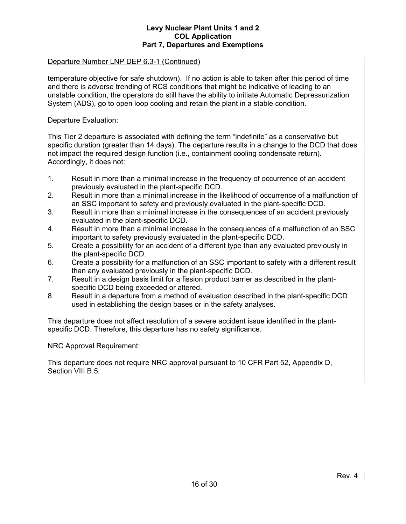#### Departure Number LNP DEP 6.3-1 (Continued)

temperature objective for safe shutdown). If no action is able to taken after this period of time and there is adverse trending of RCS conditions that might be indicative of leading to an unstable condition, the operators do still have the ability to initiate Automatic Depressurization System (ADS), go to open loop cooling and retain the plant in a stable condition.

#### Departure Evaluation:

This Tier 2 departure is associated with defining the term "indefinite" as a conservative but specific duration (greater than 14 days). The departure results in a change to the DCD that does not impact the required design function (i.e., containment cooling condensate return). Accordingly, it does not:

- 1. Result in more than a minimal increase in the frequency of occurrence of an accident previously evaluated in the plant-specific DCD.
- 2. Result in more than a minimal increase in the likelihood of occurrence of a malfunction of an SSC important to safety and previously evaluated in the plant-specific DCD.
- 3. Result in more than a minimal increase in the consequences of an accident previously evaluated in the plant-specific DCD.
- 4. Result in more than a minimal increase in the consequences of a malfunction of an SSC important to safety previously evaluated in the plant-specific DCD.
- 5. Create a possibility for an accident of a different type than any evaluated previously in the plant-specific DCD.
- 6. Create a possibility for a malfunction of an SSC important to safety with a different result than any evaluated previously in the plant-specific DCD.
- 7. Result in a design basis limit for a fission product barrier as described in the plantspecific DCD being exceeded or altered.
- 8. Result in a departure from a method of evaluation described in the plant-specific DCD used in establishing the design bases or in the safety analyses.

This departure does not affect resolution of a severe accident issue identified in the plantspecific DCD. Therefore, this departure has no safety significance.

NRC Approval Requirement:

This departure does not require NRC approval pursuant to 10 CFR Part 52, Appendix D, Section VIII.B.5.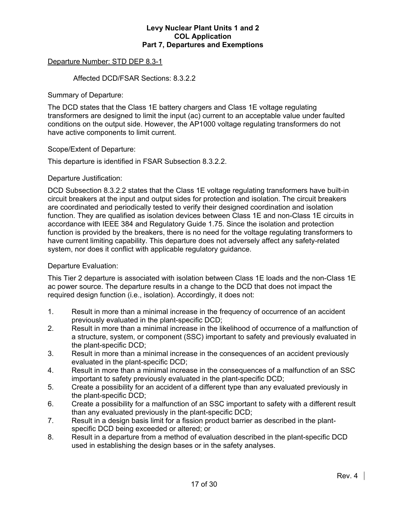# Departure Number: STD DEP 8.3-1

#### Affected DCD/FSAR Sections: 8.3.2.2

Summary of Departure:

The DCD states that the Class 1E battery chargers and Class 1E voltage regulating transformers are designed to limit the input (ac) current to an acceptable value under faulted conditions on the output side. However, the AP1000 voltage regulating transformers do not have active components to limit current.

#### Scope/Extent of Departure:

This departure is identified in FSAR Subsection 8.3.2.2.

#### Departure Justification:

DCD Subsection 8.3.2.2 states that the Class 1E voltage regulating transformers have built-in circuit breakers at the input and output sides for protection and isolation. The circuit breakers are coordinated and periodically tested to verify their designed coordination and isolation function. They are qualified as isolation devices between Class 1E and non-Class 1E circuits in accordance with IEEE 384 and Regulatory Guide 1.75. Since the isolation and protection function is provided by the breakers, there is no need for the voltage regulating transformers to have current limiting capability. This departure does not adversely affect any safety-related system, nor does it conflict with applicable regulatory guidance.

#### Departure Evaluation:

This Tier 2 departure is associated with isolation between Class 1E loads and the non-Class 1E ac power source. The departure results in a change to the DCD that does not impact the required design function (i.e., isolation). Accordingly, it does not:

- 1. Result in more than a minimal increase in the frequency of occurrence of an accident previously evaluated in the plant-specific DCD;
- 2. Result in more than a minimal increase in the likelihood of occurrence of a malfunction of a structure, system, or component (SSC) important to safety and previously evaluated in the plant-specific DCD;
- 3. Result in more than a minimal increase in the consequences of an accident previously evaluated in the plant-specific DCD;
- 4. Result in more than a minimal increase in the consequences of a malfunction of an SSC important to safety previously evaluated in the plant-specific DCD;
- 5. Create a possibility for an accident of a different type than any evaluated previously in the plant-specific DCD;
- 6. Create a possibility for a malfunction of an SSC important to safety with a different result than any evaluated previously in the plant-specific DCD;
- 7. Result in a design basis limit for a fission product barrier as described in the plantspecific DCD being exceeded or altered; or
- 8. Result in a departure from a method of evaluation described in the plant-specific DCD used in establishing the design bases or in the safety analyses.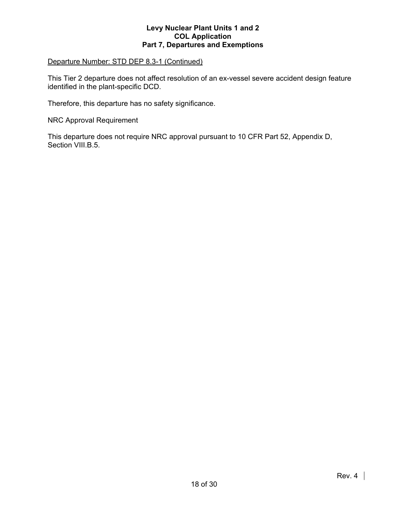#### Departure Number: STD DEP 8.3-1 (Continued)

This Tier 2 departure does not affect resolution of an ex-vessel severe accident design feature identified in the plant-specific DCD.

Therefore, this departure has no safety significance.

NRC Approval Requirement

This departure does not require NRC approval pursuant to 10 CFR Part 52, Appendix D, Section VIII.B.5.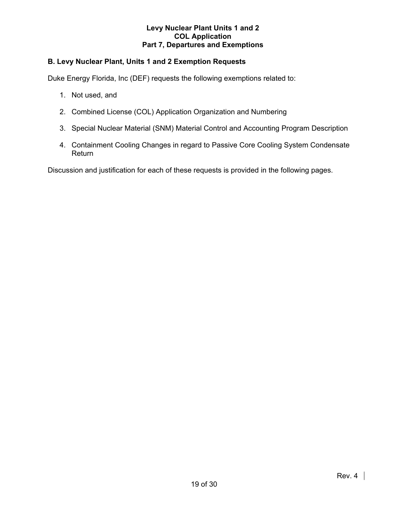# **B. Levy Nuclear Plant, Units 1 and 2 Exemption Requests**

Duke Energy Florida, Inc (DEF) requests the following exemptions related to:

- 1. Not used, and
- 2. Combined License (COL) Application Organization and Numbering
- 3. Special Nuclear Material (SNM) Material Control and Accounting Program Description
- 4. Containment Cooling Changes in regard to Passive Core Cooling System Condensate Return

Discussion and justification for each of these requests is provided in the following pages.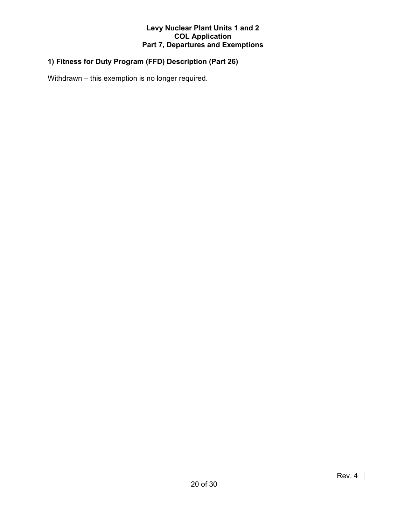# **1) Fitness for Duty Program (FFD) Description (Part 26)**

Withdrawn – this exemption is no longer required.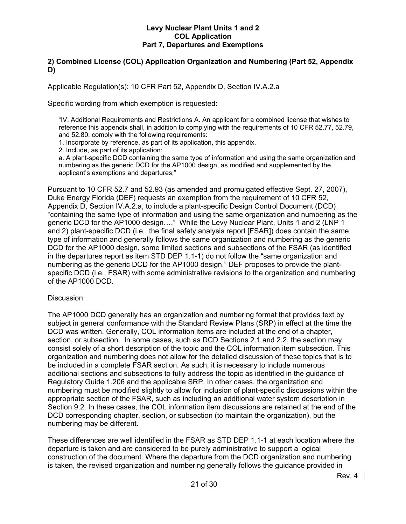# **2) Combined License (COL) Application Organization and Numbering (Part 52, Appendix D)**

Applicable Regulation(s): 10 CFR Part 52, Appendix D, Section IV.A.2.a

Specific wording from which exemption is requested:

"IV. Additional Requirements and Restrictions A. An applicant for a combined license that wishes to reference this appendix shall, in addition to complying with the requirements of 10 CFR 52.77, 52.79, and 52.80, comply with the following requirements:

1. Incorporate by reference, as part of its application, this appendix.

2. Include, as part of its application:

a. A plant-specific DCD containing the same type of information and using the same organization and numbering as the generic DCD for the AP1000 design, as modified and supplemented by the applicant's exemptions and departures;"

Pursuant to 10 CFR 52.7 and 52.93 (as amended and promulgated effective Sept. 27, 2007), Duke Energy Florida (DEF) requests an exemption from the requirement of 10 CFR 52, Appendix D, Section IV.A.2.a, to include a plant-specific Design Control Document (DCD) "containing the same type of information and using the same organization and numbering as the generic DCD for the AP1000 design…." While the Levy Nuclear Plant, Units 1 and 2 (LNP 1 and 2) plant-specific DCD (i.e., the final safety analysis report [FSAR]) does contain the same type of information and generally follows the same organization and numbering as the generic DCD for the AP1000 design, some limited sections and subsections of the FSAR (as identified in the departures report as item STD DEP 1.1-1) do not follow the "same organization and numbering as the generic DCD for the AP1000 design." DEF proposes to provide the plantspecific DCD (i.e., FSAR) with some administrative revisions to the organization and numbering of the AP1000 DCD.

#### Discussion:

The AP1000 DCD generally has an organization and numbering format that provides text by subject in general conformance with the Standard Review Plans (SRP) in effect at the time the DCD was written. Generally, COL information items are included at the end of a chapter, section, or subsection. In some cases, such as DCD Sections 2.1 and 2.2, the section may consist solely of a short description of the topic and the COL information item subsection. This organization and numbering does not allow for the detailed discussion of these topics that is to be included in a complete FSAR section. As such, it is necessary to include numerous additional sections and subsections to fully address the topic as identified in the guidance of Regulatory Guide 1.206 and the applicable SRP. In other cases, the organization and numbering must be modified slightly to allow for inclusion of plant-specific discussions within the appropriate section of the FSAR, such as including an additional water system description in Section 9.2. In these cases, the COL information item discussions are retained at the end of the DCD corresponding chapter, section, or subsection (to maintain the organization), but the numbering may be different.

These differences are well identified in the FSAR as STD DEP 1.1-1 at each location where the departure is taken and are considered to be purely administrative to support a logical construction of the document. Where the departure from the DCD organization and numbering is taken, the revised organization and numbering generally follows the guidance provided in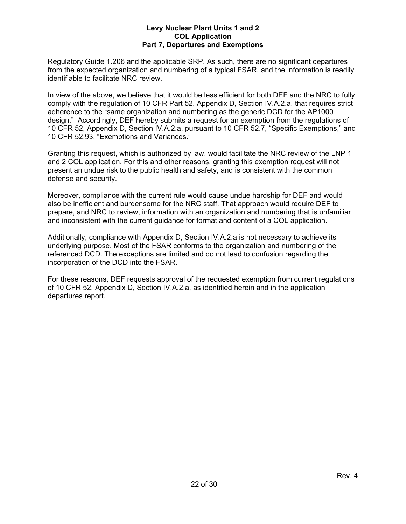Regulatory Guide 1.206 and the applicable SRP. As such, there are no significant departures from the expected organization and numbering of a typical FSAR, and the information is readily identifiable to facilitate NRC review.

In view of the above, we believe that it would be less efficient for both DEF and the NRC to fully comply with the regulation of 10 CFR Part 52, Appendix D, Section IV.A.2.a, that requires strict adherence to the "same organization and numbering as the generic DCD for the AP1000 design." Accordingly, DEF hereby submits a request for an exemption from the regulations of 10 CFR 52, Appendix D, Section IV.A.2.a, pursuant to 10 CFR 52.7, "Specific Exemptions," and 10 CFR 52.93, "Exemptions and Variances."

Granting this request, which is authorized by law, would facilitate the NRC review of the LNP 1 and 2 COL application. For this and other reasons, granting this exemption request will not present an undue risk to the public health and safety, and is consistent with the common defense and security.

Moreover, compliance with the current rule would cause undue hardship for DEF and would also be inefficient and burdensome for the NRC staff. That approach would require DEF to prepare, and NRC to review, information with an organization and numbering that is unfamiliar and inconsistent with the current guidance for format and content of a COL application.

Additionally, compliance with Appendix D, Section IV.A.2.a is not necessary to achieve its underlying purpose. Most of the FSAR conforms to the organization and numbering of the referenced DCD. The exceptions are limited and do not lead to confusion regarding the incorporation of the DCD into the FSAR.

For these reasons, DEF requests approval of the requested exemption from current regulations of 10 CFR 52, Appendix D, Section IV.A.2.a, as identified herein and in the application departures report.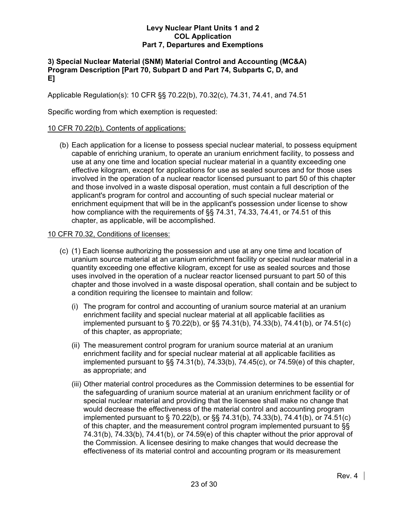# **3) Special Nuclear Material (SNM) Material Control and Accounting (MC&A) Program Description [Part 70, Subpart D and Part 74, Subparts C, D, and E]**

Applicable Regulation(s): 10 CFR §§ 70.22(b), 70.32(c), 74.31, 74.41, and 74.51

Specific wording from which exemption is requested:

# 10 CFR 70.22(b), Contents of applications:

 (b) Each application for a license to possess special nuclear material, to possess equipment capable of enriching uranium, to operate an uranium enrichment facility, to possess and use at any one time and location special nuclear material in a quantity exceeding one effective kilogram, except for applications for use as sealed sources and for those uses involved in the operation of a nuclear reactor licensed pursuant to part 50 of this chapter and those involved in a waste disposal operation, must contain a full description of the applicant's program for control and accounting of such special nuclear material or enrichment equipment that will be in the applicant's possession under license to show how compliance with the requirements of §§ 74.31, 74.33, 74.41, or 74.51 of this chapter, as applicable, will be accomplished.

# 10 CFR 70.32, Conditions of licenses:

- (c) (1) Each license authorizing the possession and use at any one time and location of uranium source material at an uranium enrichment facility or special nuclear material in a quantity exceeding one effective kilogram, except for use as sealed sources and those uses involved in the operation of a nuclear reactor licensed pursuant to part 50 of this chapter and those involved in a waste disposal operation, shall contain and be subject to a condition requiring the licensee to maintain and follow:
	- (i) The program for control and accounting of uranium source material at an uranium enrichment facility and special nuclear material at all applicable facilities as implemented pursuant to § 70.22(b), or §§ 74.31(b), 74.33(b), 74.41(b), or 74.51(c) of this chapter, as appropriate;
	- (ii) The measurement control program for uranium source material at an uranium enrichment facility and for special nuclear material at all applicable facilities as implemented pursuant to §§ 74.31(b), 74.33(b), 74.45(c), or 74.59(e) of this chapter, as appropriate; and
	- (iii) Other material control procedures as the Commission determines to be essential for the safeguarding of uranium source material at an uranium enrichment facility or of special nuclear material and providing that the licensee shall make no change that would decrease the effectiveness of the material control and accounting program implemented pursuant to § 70.22(b), or §§ 74.31(b), 74.33(b), 74.41(b), or 74.51(c) of this chapter, and the measurement control program implemented pursuant to §§ 74.31(b), 74.33(b), 74.41(b), or 74.59(e) of this chapter without the prior approval of the Commission. A licensee desiring to make changes that would decrease the effectiveness of its material control and accounting program or its measurement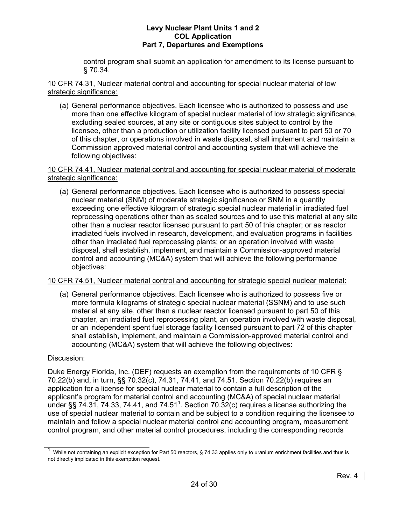control program shall submit an application for amendment to its license pursuant to § 70.34.

10 CFR 74.31, Nuclear material control and accounting for special nuclear material of low strategic significance:

 (a) General performance objectives. Each licensee who is authorized to possess and use more than one effective kilogram of special nuclear material of low strategic significance, excluding sealed sources, at any site or contiguous sites subject to control by the licensee, other than a production or utilization facility licensed pursuant to part 50 or 70 of this chapter, or operations involved in waste disposal, shall implement and maintain a Commission approved material control and accounting system that will achieve the following objectives:

# 10 CFR 74.41, Nuclear material control and accounting for special nuclear material of moderate strategic significance:

 (a) General performance objectives. Each licensee who is authorized to possess special nuclear material (SNM) of moderate strategic significance or SNM in a quantity exceeding one effective kilogram of strategic special nuclear material in irradiated fuel reprocessing operations other than as sealed sources and to use this material at any site other than a nuclear reactor licensed pursuant to part 50 of this chapter; or as reactor irradiated fuels involved in research, development, and evaluation programs in facilities other than irradiated fuel reprocessing plants; or an operation involved with waste disposal, shall establish, implement, and maintain a Commission-approved material control and accounting (MC&A) system that will achieve the following performance objectives:

# 10 CFR 74.51, Nuclear material control and accounting for strategic special nuclear material:

 (a) General performance objectives. Each licensee who is authorized to possess five or more formula kilograms of strategic special nuclear material (SSNM) and to use such material at any site, other than a nuclear reactor licensed pursuant to part 50 of this chapter, an irradiated fuel reprocessing plant, an operation involved with waste disposal, or an independent spent fuel storage facility licensed pursuant to part 72 of this chapter shall establish, implement, and maintain a Commission-approved material control and accounting (MC&A) system that will achieve the following objectives:

# Discussion:

Duke Energy Florida, Inc. (DEF) requests an exemption from the requirements of 10 CFR § 70.22(b) and, in turn, §§ 70.32(c), 74.31, 74.41, and 74.51. Section 70.22(b) requires an application for a license for special nuclear material to contain a full description of the applicant's program for material control and accounting (MC&A) of special nuclear material under §§ 74.31, 74.33, 74.41, and 74.51<sup>1</sup>. Section 70.32(c) requires a license authorizing the use of special nuclear material to contain and be subject to a condition requiring the licensee to maintain and follow a special nuclear material control and accounting program, measurement control program, and other material control procedures, including the corresponding records

<sup>1</sup> While not containing an explicit exception for Part 50 reactors, § 74.33 applies only to uranium enrichment facilities and thus is not directly implicated in this exemption request.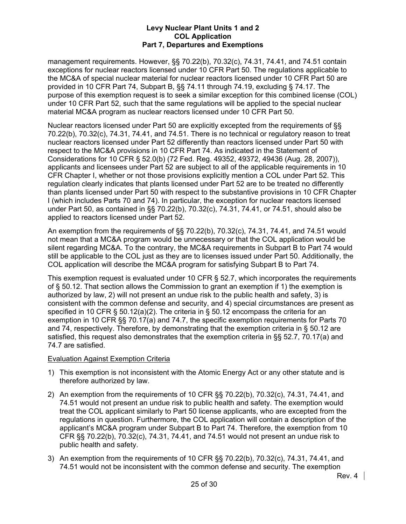management requirements. However, §§ 70.22(b), 70.32(c), 74.31, 74.41, and 74.51 contain exceptions for nuclear reactors licensed under 10 CFR Part 50. The regulations applicable to the MC&A of special nuclear material for nuclear reactors licensed under 10 CFR Part 50 are provided in 10 CFR Part 74, Subpart B, §§ 74.11 through 74.19, excluding § 74.17. The purpose of this exemption request is to seek a similar exception for this combined license (COL) under 10 CFR Part 52, such that the same regulations will be applied to the special nuclear material MC&A program as nuclear reactors licensed under 10 CFR Part 50.

Nuclear reactors licensed under Part 50 are explicitly excepted from the requirements of §§ 70.22(b), 70.32(c), 74.31, 74.41, and 74.51. There is no technical or regulatory reason to treat nuclear reactors licensed under Part 52 differently than reactors licensed under Part 50 with respect to the MC&A provisions in 10 CFR Part 74. As indicated in the Statement of Considerations for 10 CFR § 52.0(b) (72 Fed. Reg. 49352, 49372, 49436 (Aug. 28, 2007)), applicants and licensees under Part 52 are subject to all of the applicable requirements in 10 CFR Chapter I, whether or not those provisions explicitly mention a COL under Part 52. This regulation clearly indicates that plants licensed under Part 52 are to be treated no differently than plants licensed under Part 50 with respect to the substantive provisions in 10 CFR Chapter I (which includes Parts 70 and 74). In particular, the exception for nuclear reactors licensed under Part 50, as contained in §§ 70.22(b), 70.32(c), 74.31, 74.41, or 74.51, should also be applied to reactors licensed under Part 52.

An exemption from the requirements of §§ 70.22(b), 70.32(c), 74.31, 74.41, and 74.51 would not mean that a MC&A program would be unnecessary or that the COL application would be silent regarding MC&A. To the contrary, the MC&A requirements in Subpart B to Part 74 would still be applicable to the COL just as they are to licenses issued under Part 50. Additionally, the COL application will describe the MC&A program for satisfying Subpart B to Part 74.

This exemption request is evaluated under 10 CFR § 52.7, which incorporates the requirements of § 50.12. That section allows the Commission to grant an exemption if 1) the exemption is authorized by law, 2) will not present an undue risk to the public health and safety, 3) is consistent with the common defense and security, and 4) special circumstances are present as specified in 10 CFR § 50.12(a)(2). The criteria in § 50.12 encompass the criteria for an exemption in 10 CFR §§ 70.17(a) and 74.7, the specific exemption requirements for Parts 70 and 74, respectively. Therefore, by demonstrating that the exemption criteria in § 50.12 are satisfied, this request also demonstrates that the exemption criteria in §§ 52.7, 70.17(a) and 74.7 are satisfied.

# Evaluation Against Exemption Criteria

- 1) This exemption is not inconsistent with the Atomic Energy Act or any other statute and is therefore authorized by law.
- 2) An exemption from the requirements of 10 CFR §§ 70.22(b), 70.32(c), 74.31, 74.41, and 74.51 would not present an undue risk to public health and safety. The exemption would treat the COL applicant similarly to Part 50 license applicants, who are excepted from the regulations in question. Furthermore, the COL application will contain a description of the applicant's MC&A program under Subpart B to Part 74. Therefore, the exemption from 10 CFR §§ 70.22(b), 70.32(c), 74.31, 74.41, and 74.51 would not present an undue risk to public health and safety.
- 3) An exemption from the requirements of 10 CFR §§ 70.22(b), 70.32(c), 74.31, 74.41, and 74.51 would not be inconsistent with the common defense and security. The exemption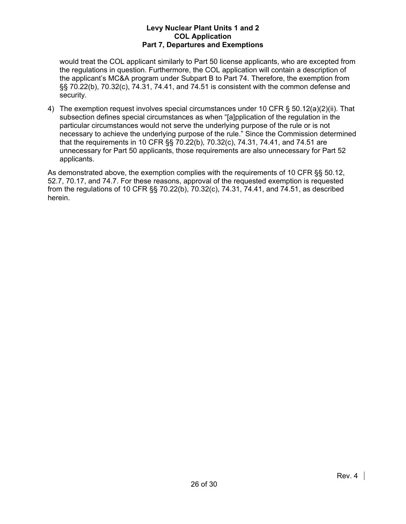would treat the COL applicant similarly to Part 50 license applicants, who are excepted from the regulations in question. Furthermore, the COL application will contain a description of the applicant's MC&A program under Subpart B to Part 74. Therefore, the exemption from §§ 70.22(b), 70.32(c), 74.31, 74.41, and 74.51 is consistent with the common defense and security.

4) The exemption request involves special circumstances under 10 CFR § 50.12(a)(2)(ii). That subsection defines special circumstances as when "[a]pplication of the regulation in the particular circumstances would not serve the underlying purpose of the rule or is not necessary to achieve the underlying purpose of the rule." Since the Commission determined that the requirements in 10 CFR §§ 70.22(b), 70.32(c), 74.31, 74.41, and 74.51 are unnecessary for Part 50 applicants, those requirements are also unnecessary for Part 52 applicants.

As demonstrated above, the exemption complies with the requirements of 10 CFR §§ 50.12, 52.7, 70.17, and 74.7. For these reasons, approval of the requested exemption is requested from the regulations of 10 CFR §§ 70.22(b), 70.32(c), 74.31, 74.41, and 74.51, as described herein.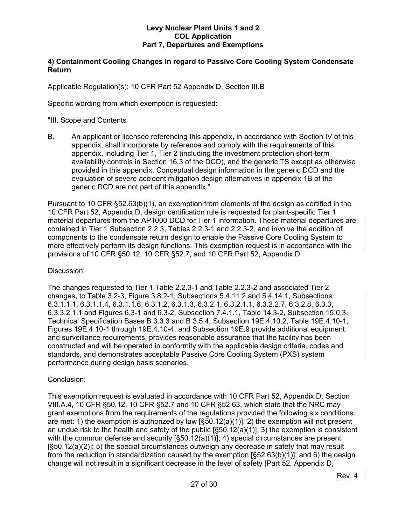# **4) Containment Cooling Changes in regard to Passive Core Cooling System Condensate Return**

Applicable Regulation(s): 10 CFR Part 52 Appendix D, Section III.B

Specific wording from which exemption is requested:

# "III. Scope and Contents

B. An applicant or licensee referencing this appendix, in accordance with Section IV of this appendix, shall incorporate by reference and comply with the requirements of this appendix, including Tier 1, Tier 2 (including the investment protection short-term availability controls in Section 16.3 of the DCD), and the generic TS except as otherwise provided in this appendix. Conceptual design information in the generic DCD and the evaluation of severe accident mitigation design alternatives in appendix 1B of the generic DCD are not part of this appendix."

Pursuant to 10 CFR §52.63(b)(1), an exemption from elements of the design as certified in the 10 CFR Part 52, Appendix D, design certification rule is requested for plant-specific Tier 1 material departures from the AP1000 DCD for Tier 1 information. These material departures are contained in Tier 1 Subsection 2.2.3, Tables 2.2.3-1 and 2.2.3-2, and involve the addition of components to the condensate return design to enable the Passive Core Cooling System to more effectively perform its design functions. This exemption request is in accordance with the provisions of 10 CFR §50.12, 10 CFR §52.7, and 10 CFR Part 52, Appendix D

# Discussion:

The changes requested to Tier 1 Table 2.2.3-1 and Table 2.2.3-2 and associated Tier 2 changes, to Table 3.2-3, Figure 3.8.2-1, Subsections 5.4.11.2 and 5.4.14.1, Subsections 6.3.1.1.1, 6.3.1.1.4, 6.3.1.1.6, 6.3.1.2, 6.3.1.3, 6.3.2.1, 6.3.2.1.1, 6.3.2.2.7, 6.3.2.8, 6.3.3, 6.3.3.2.1.1 and Figures 6.3-1 and 6.3-2, Subsection 7.4.1.1, Table 14.3-2, Subsection 15.0.3, Technical Specification Bases B 3.3.3 and B 3.5.4, Subsection 19E.4.10.2, Table 19E.4.10-1, Figures 19E.4.10-1 through 19E.4.10-4, and Subsection 19E.9 provide additional equipment and surveillance requirements, provides reasonable assurance that the facility has been constructed and will be operated in conformity with the applicable design criteria, codes and standards, and demonstrates acceptable Passive Core Cooling System (PXS) system performance during design basis scenarios.

# Conclusion:

This exemption request is evaluated in accordance with 10 CFR Part 52, Appendix D, Section VIII.A.4, 10 CFR §50.12, 10 CFR §52.7 and 10 CFR §52.63, which state that the NRC may grant exemptions from the requirements of the regulations provided the following six conditions are met: 1) the exemption is authorized by law  $[\S 50.12(a)(1)]$ ; 2) the exemption will not present an undue risk to the health and safety of the public  $[§50.12(a)(1)]$ ; 3) the exemption is consistent with the common defense and security  $[§50.12(a)(1)]$ ; 4) special circumstances are present [§50.12(a)(2)]; 5) the special circumstances outweigh any decrease in safety that may result from the reduction in standardization caused by the exemption [§52.63(b)(1)]; and 6) the design change will not result in a significant decrease in the level of safety [Part 52, Appendix D,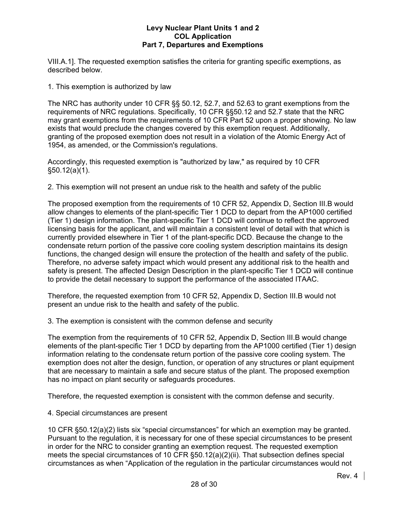VIII.A.1]. The requested exemption satisfies the criteria for granting specific exemptions, as described below.

1. This exemption is authorized by law

The NRC has authority under 10 CFR §§ 50.12, 52.7, and 52.63 to grant exemptions from the requirements of NRC regulations. Specifically, 10 CFR §§50.12 and 52.7 state that the NRC may grant exemptions from the requirements of 10 CFR Part 52 upon a proper showing. No law exists that would preclude the changes covered by this exemption request. Additionally, granting of the proposed exemption does not result in a violation of the Atomic Energy Act of 1954, as amended, or the Commission's regulations.

Accordingly, this requested exemption is "authorized by law," as required by 10 CFR §50.12(a)(1).

2. This exemption will not present an undue risk to the health and safety of the public

The proposed exemption from the requirements of 10 CFR 52, Appendix D, Section III.B would allow changes to elements of the plant-specific Tier 1 DCD to depart from the AP1000 certified (Tier 1) design information. The plant-specific Tier 1 DCD will continue to reflect the approved licensing basis for the applicant, and will maintain a consistent level of detail with that which is currently provided elsewhere in Tier 1 of the plant-specific DCD. Because the change to the condensate return portion of the passive core cooling system description maintains its design functions, the changed design will ensure the protection of the health and safety of the public. Therefore, no adverse safety impact which would present any additional risk to the health and safety is present. The affected Design Description in the plant-specific Tier 1 DCD will continue to provide the detail necessary to support the performance of the associated ITAAC.

Therefore, the requested exemption from 10 CFR 52, Appendix D, Section III.B would not present an undue risk to the health and safety of the public.

3. The exemption is consistent with the common defense and security

The exemption from the requirements of 10 CFR 52, Appendix D, Section III.B would change elements of the plant-specific Tier 1 DCD by departing from the AP1000 certified (Tier 1) design information relating to the condensate return portion of the passive core cooling system. The exemption does not alter the design, function, or operation of any structures or plant equipment that are necessary to maintain a safe and secure status of the plant. The proposed exemption has no impact on plant security or safeguards procedures.

Therefore, the requested exemption is consistent with the common defense and security.

4. Special circumstances are present

10 CFR §50.12(a)(2) lists six "special circumstances" for which an exemption may be granted. Pursuant to the regulation, it is necessary for one of these special circumstances to be present in order for the NRC to consider granting an exemption request. The requested exemption meets the special circumstances of 10 CFR §50.12(a)(2)(ii). That subsection defines special circumstances as when "Application of the regulation in the particular circumstances would not

Rev. 4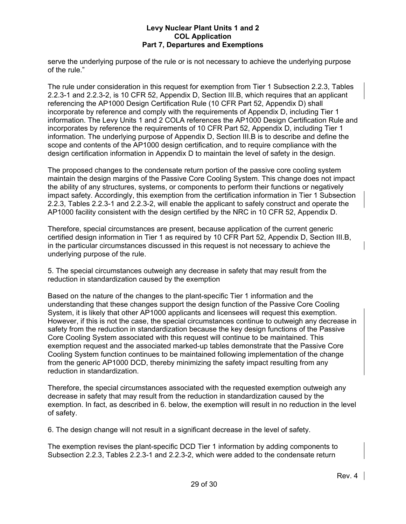serve the underlying purpose of the rule or is not necessary to achieve the underlying purpose of the rule."

The rule under consideration in this request for exemption from Tier 1 Subsection 2.2.3, Tables 2.2.3-1 and 2.2.3-2, is 10 CFR 52, Appendix D, Section III.B, which requires that an applicant referencing the AP1000 Design Certification Rule (10 CFR Part 52, Appendix D) shall incorporate by reference and comply with the requirements of Appendix D, including Tier 1 information. The Levy Units 1 and 2 COLA references the AP1000 Design Certification Rule and incorporates by reference the requirements of 10 CFR Part 52, Appendix D, including Tier 1 information. The underlying purpose of Appendix D, Section III.B is to describe and define the scope and contents of the AP1000 design certification, and to require compliance with the design certification information in Appendix D to maintain the level of safety in the design.

The proposed changes to the condensate return portion of the passive core cooling system maintain the design margins of the Passive Core Cooling System. This change does not impact the ability of any structures, systems, or components to perform their functions or negatively impact safety. Accordingly, this exemption from the certification information in Tier 1 Subsection 2.2.3, Tables 2.2.3-1 and 2.2.3-2, will enable the applicant to safely construct and operate the AP1000 facility consistent with the design certified by the NRC in 10 CFR 52, Appendix D.

Therefore, special circumstances are present, because application of the current generic certified design information in Tier 1 as required by 10 CFR Part 52, Appendix D, Section III.B, in the particular circumstances discussed in this request is not necessary to achieve the underlying purpose of the rule.

5. The special circumstances outweigh any decrease in safety that may result from the reduction in standardization caused by the exemption

Based on the nature of the changes to the plant-specific Tier 1 information and the understanding that these changes support the design function of the Passive Core Cooling System, it is likely that other AP1000 applicants and licensees will request this exemption. However, if this is not the case, the special circumstances continue to outweigh any decrease in safety from the reduction in standardization because the key design functions of the Passive Core Cooling System associated with this request will continue to be maintained. This exemption request and the associated marked-up tables demonstrate that the Passive Core Cooling System function continues to be maintained following implementation of the change from the generic AP1000 DCD, thereby minimizing the safety impact resulting from any reduction in standardization.

Therefore, the special circumstances associated with the requested exemption outweigh any decrease in safety that may result from the reduction in standardization caused by the exemption. In fact, as described in 6. below, the exemption will result in no reduction in the level of safety.

6. The design change will not result in a significant decrease in the level of safety.

The exemption revises the plant-specific DCD Tier 1 information by adding components to Subsection 2.2.3, Tables 2.2.3-1 and 2.2.3-2, which were added to the condensate return